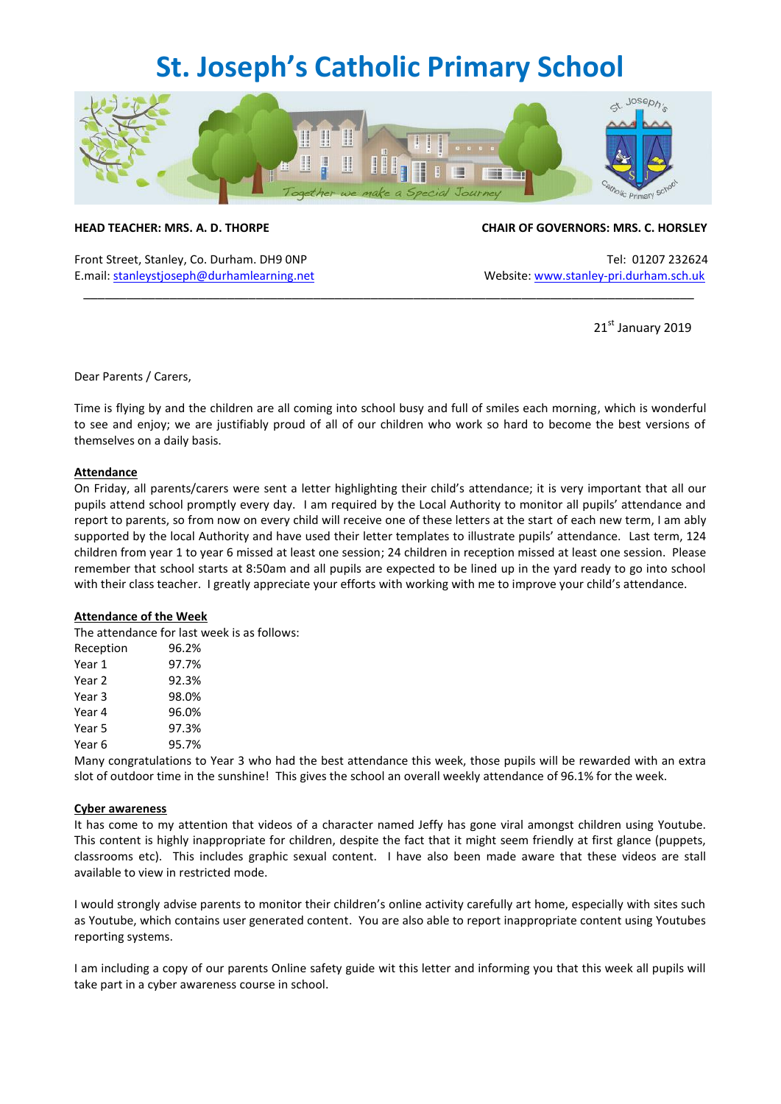### **St. Joseph's Catholic Primary School**



Front Street, Stanley, Co. Durham. DH9 ONP Tel: 01207 232624 E.mail[: stanleystjoseph@durhamlearning.net](mailto:stanleystjoseph@durhamlearning.net) Website[: www.stanley-pri.durham.sch.uk](http://www.stanley-pri.durham.sch.uk/)

#### **HEAD TEACHER: MRS. A. D. THORPE CHAIR OF GOVERNORS: MRS. C. HORSLEY**

21st January 2019

Dear Parents / Carers,

Time is flying by and the children are all coming into school busy and full of smiles each morning, which is wonderful to see and enjoy; we are justifiably proud of all of our children who work so hard to become the best versions of themselves on a daily basis.

\_\_\_\_\_\_\_\_\_\_\_\_\_\_\_\_\_\_\_\_\_\_\_\_\_\_\_\_\_\_\_\_\_\_\_\_\_\_\_\_\_\_\_\_\_\_\_\_\_\_\_\_\_\_\_\_\_\_\_\_\_\_\_\_\_\_\_\_\_\_\_\_\_\_\_\_\_\_\_\_\_\_\_\_\_

#### **Attendance**

On Friday, all parents/carers were sent a letter highlighting their child's attendance; it is very important that all our pupils attend school promptly every day. I am required by the Local Authority to monitor all pupils' attendance and report to parents, so from now on every child will receive one of these letters at the start of each new term, I am ably supported by the local Authority and have used their letter templates to illustrate pupils' attendance. Last term, 124 children from year 1 to year 6 missed at least one session; 24 children in reception missed at least one session. Please remember that school starts at 8:50am and all pupils are expected to be lined up in the yard ready to go into school with their class teacher. I greatly appreciate your efforts with working with me to improve your child's attendance.

#### **Attendance of the Week**

The attendance for last week is as follows:

| Reception | 96.2% |
|-----------|-------|
| Year 1    | 97.7% |
| Year 2    | 92.3% |
| Year 3    | 98.0% |
| Year 4    | 96.0% |
| Year 5    | 97.3% |
| Year 6    | 95.7% |

Many congratulations to Year 3 who had the best attendance this week, those pupils will be rewarded with an extra slot of outdoor time in the sunshine! This gives the school an overall weekly attendance of 96.1% for the week.

#### **Cyber awareness**

It has come to my attention that videos of a character named Jeffy has gone viral amongst children using Youtube. This content is highly inappropriate for children, despite the fact that it might seem friendly at first glance (puppets, classrooms etc). This includes graphic sexual content. I have also been made aware that these videos are stall available to view in restricted mode.

I would strongly advise parents to monitor their children's online activity carefully art home, especially with sites such as Youtube, which contains user generated content. You are also able to report inappropriate content using Youtubes reporting systems.

I am including a copy of our parents Online safety guide wit this letter and informing you that this week all pupils will take part in a cyber awareness course in school.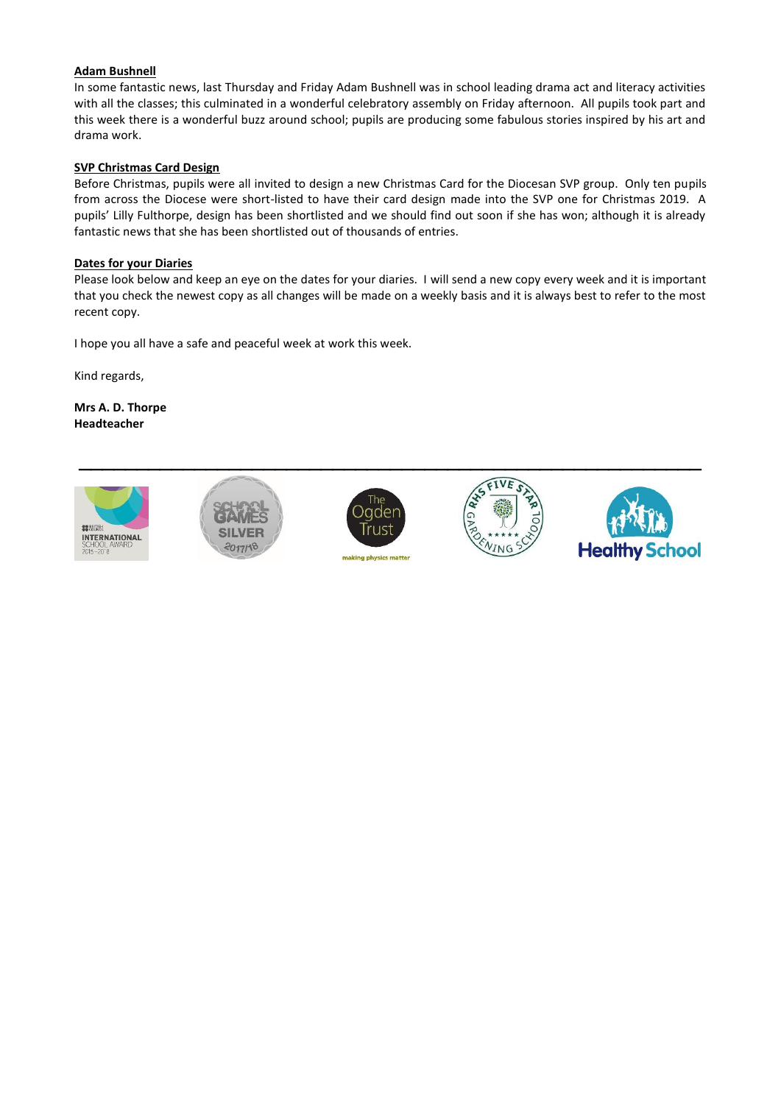### **Adam Bushnell**

In some fantastic news, last Thursday and Friday Adam Bushnell was in school leading drama act and literacy activities with all the classes; this culminated in a wonderful celebratory assembly on Friday afternoon. All pupils took part and this week there is a wonderful buzz around school; pupils are producing some fabulous stories inspired by his art and drama work.

#### **SVP Christmas Card Design**

Before Christmas, pupils were all invited to design a new Christmas Card for the Diocesan SVP group. Only ten pupils from across the Diocese were short-listed to have their card design made into the SVP one for Christmas 2019. A pupils' Lilly Fulthorpe, design has been shortlisted and we should find out soon if she has won; although it is already fantastic news that she has been shortlisted out of thousands of entries.

#### **Dates for your Diaries**

Please look below and keep an eye on the dates for your diaries. I will send a new copy every week and it is important that you check the newest copy as all changes will be made on a weekly basis and it is always best to refer to the most recent copy.

I hope you all have a safe and peaceful week at work this week.

Kind regards,

**Mrs A. D. Thorpe Headteacher** 

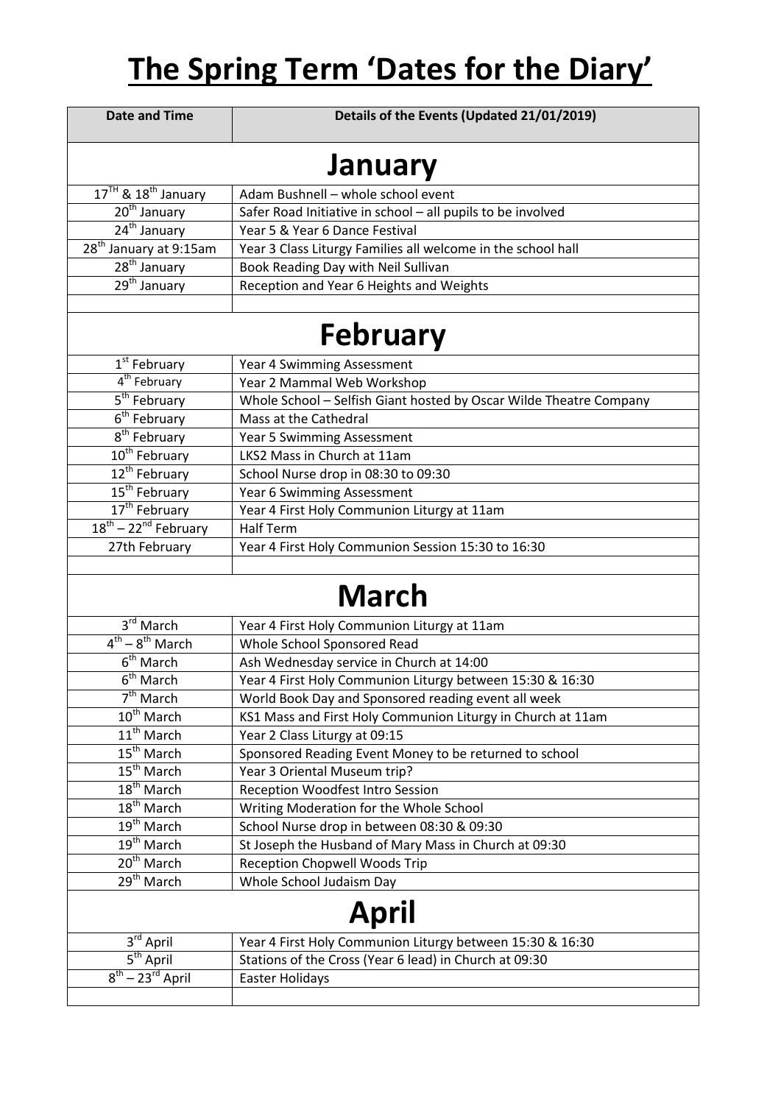## **The Spring Term 'Dates for the Diary'**

| <b>Date and Time</b>                  | Details of the Events (Updated 21/01/2019)                         |  |
|---------------------------------------|--------------------------------------------------------------------|--|
| <b>January</b>                        |                                                                    |  |
| $17TH$ & $18th$ January               | Adam Bushnell - whole school event                                 |  |
| $\overline{20^{th}}$ January          | Safer Road Initiative in school - all pupils to be involved        |  |
| 24 <sup>th</sup> January              | Year 5 & Year 6 Dance Festival                                     |  |
| 28 <sup>th</sup> January at 9:15am    | Year 3 Class Liturgy Families all welcome in the school hall       |  |
| $28^{th}$ January                     | Book Reading Day with Neil Sullivan                                |  |
| $29th$ January                        | Reception and Year 6 Heights and Weights                           |  |
|                                       |                                                                    |  |
| <b>February</b>                       |                                                                    |  |
| 1 <sup>st</sup> February              | Year 4 Swimming Assessment                                         |  |
| 4 <sup>th</sup> February              | Year 2 Mammal Web Workshop                                         |  |
| 5 <sup>th</sup> February              | Whole School - Selfish Giant hosted by Oscar Wilde Theatre Company |  |
| $\overline{6}^{\text{th}}$ February   | Mass at the Cathedral                                              |  |
| 8 <sup>th</sup> February              | <b>Year 5 Swimming Assessment</b>                                  |  |
| $10^{th}$ February                    | LKS2 Mass in Church at 11am                                        |  |
| 12 <sup>th</sup> February             | School Nurse drop in 08:30 to 09:30                                |  |
| 15 <sup>th</sup> February             | Year 6 Swimming Assessment                                         |  |
| 17 <sup>th</sup> February             | Year 4 First Holy Communion Liturgy at 11am                        |  |
| $18^{th}$ – 22 <sup>nd</sup> February | <b>Half Term</b>                                                   |  |
| 27th February                         | Year 4 First Holy Communion Session 15:30 to 16:30                 |  |
|                                       |                                                                    |  |
| <b>March</b>                          |                                                                    |  |
| 3rd March                             | Year 4 First Holy Communion Liturgy at 11am                        |  |
| $4^{th} - 8^{th}$ March               | Whole School Sponsored Read                                        |  |
| 6 <sup>th</sup> March                 | Ash Wednesday service in Church at 14:00                           |  |
| $\overline{6^{th}}$ March             | Year 4 First Holy Communion Liturgy between 15:30 & 16:30          |  |
| $7th$ March                           | World Book Day and Sponsored reading event all week                |  |
| 10 <sup>th</sup> March                | KS1 Mass and First Holy Communion Liturgy in Church at 11am        |  |
| 11 <sup>th</sup> March                | Year 2 Class Liturgy at 09:15                                      |  |
| $15^{th}$ March                       | Sponsored Reading Event Money to be returned to school             |  |
| $15^{th}$ March                       | Year 3 Oriental Museum trip?                                       |  |
| $18th$ March                          | Reception Woodfest Intro Session                                   |  |
| 18 <sup>th</sup> March                | Writing Moderation for the Whole School                            |  |
| 19 <sup>th</sup> March                | School Nurse drop in between 08:30 & 09:30                         |  |
| 19 <sup>th</sup> March                | St Joseph the Husband of Mary Mass in Church at 09:30              |  |
| 20 <sup>th</sup> March                | <b>Reception Chopwell Woods Trip</b>                               |  |
| 29 <sup>th</sup> March                | Whole School Judaism Day                                           |  |
| <b>April</b>                          |                                                                    |  |
| $3^{\text{rd}}$ April                 | Year 4 First Holy Communion Liturgy between 15:30 & 16:30          |  |
| $\overline{5^{th}}$ April             | Stations of the Cross (Year 6 lead) in Church at 09:30             |  |
| $8^{th}$ – 23 <sup>rd</sup> April     | Easter Holidays                                                    |  |
|                                       |                                                                    |  |